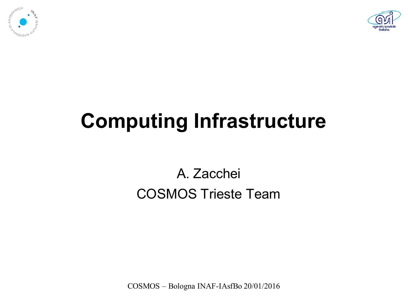



#### **Computing Infrastructure**

#### A. Zacchei COSMOS Trieste Team

COSMOS – Bologna INAF-IAsfBo 20/01/2016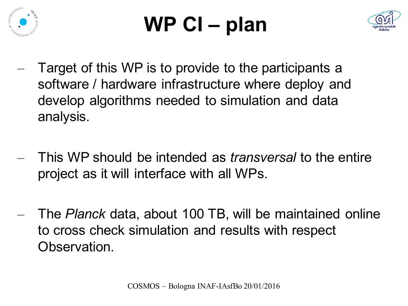

# **WP CI – plan**



- Target of this WP is to provide to the participants a software / hardware infrastructure where deploy and develop algorithms needed to simulation and data analysis.
- This WP should be intended as *transversal* to the entire project as it will interface with all WPs.
- The *Planck* data, about 100 TB, will be maintained online to cross check simulation and results with respect Observation.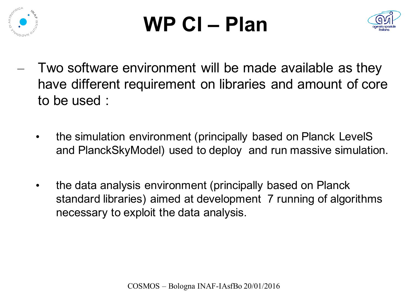

### **WP CI – Plan**



- Two software environment will be made available as they have different requirement on libraries and amount of core to be used :
	- the simulation environment (principally based on Planck LevelS and PlanckSkyModel) used to deploy and run massive simulation.
	- the data analysis environment (principally based on Planck standard libraries) aimed at development 7 running of algorithms necessary to exploit the data analysis.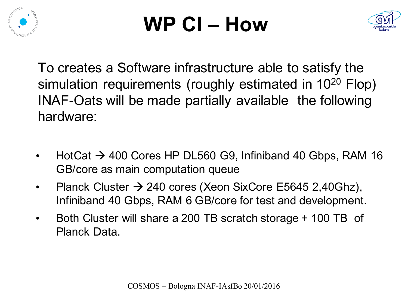

### **WP CI – How**



- To creates a Software infrastructure able to satisfy the simulation requirements (roughly estimated in 10<sup>20</sup> Flop) INAF-Oats will be made partially available the following hardware:
	- $HotCat \rightarrow 400$  Cores HP DL560 G9, Infiniband 40 Gbps, RAM 16 GB/core as main computation queue
	- Planck Cluster  $\rightarrow$  240 cores (Xeon SixCore E5645 2,40Ghz), Infiniband 40 Gbps, RAM 6 GB/core for test and development.
	- Both Cluster will share a 200 TB scratch storage + 100 TB of Planck Data.